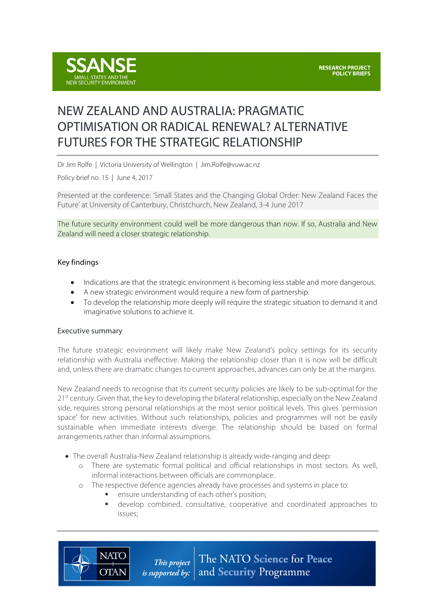

# NEW ZEALAND AND AUSTRALIA: PRAGMATIC OPTIMISATION OR RADICAL RENEWAL? ALTERNATIVE FUTURES FOR THE STRATEGIC RELATIONSHIP

Dr Jim Rolfe | Victoria University of Wellington | Jim.Rolfe@vuw.ac.nz

Policy brief no. 15 | June 4, 2017

Presented at the conference: 'Small States and the Changing Global Order: New Zealand Faces the Future' at University of Canterbury, Christchurch, New Zealand, 3-4 June 2017

The future security environment could well be more dangerous than now. If so, Australia and New Zealand will need a closer strategic relationship.

#### Key findings

- Indications are that the strategic environment is becoming less stable and more dangerous.
- A new strategic environment would require a new form of partnership.
- To develop the relationship more deeply will require the strategic situation to demand it and imaginative solutions to achieve it.

#### Executive summary

**NATO** 

**OTAN** 

The future strategic environment will likely make New Zealand's policy settings for its security relationship with Australia ineffective. Making the relationship closer than it is now will be difficult and, unless there are dramatic changes to current approaches, advances can only be at the margins.

New Zealand needs to recognise that its current security policies are likely to be sub-optimal for the 21<sup>st</sup> century. Given that, the key to developing the bilateral relationship, especially on the New Zealand side, requires strong personal relationships at the most senior political levels. This gives 'permission space' for new activities. Without such relationships, policies and programmes will not be easily sustainable when immediate interests diverge. The relationship should be based on formal arrangements rather than informal assumptions.

- The overall Australia-New Zealand relationship is already wide-ranging and deep:
	- o There are systematic formal political and official relationships in most sectors. As well, informal interactions between officials are commonplace.
	- o The respective defence agencies already have processes and systems in place to:
		- ensure understanding of each other's position;
		- develop combined, consultative, cooperative and coordinated approaches to issues;

The NATO Science for Peace This project is supported by: and Security Programme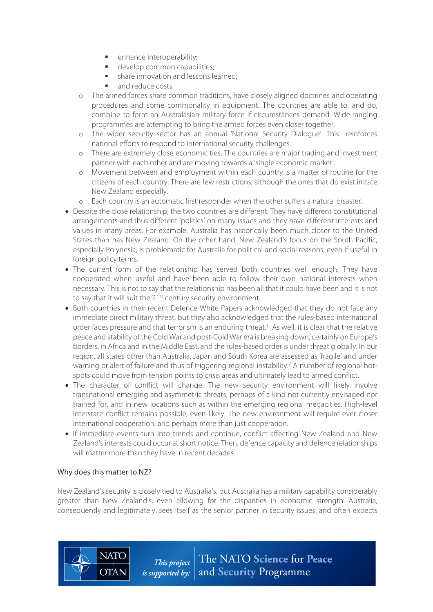- enhance interoperability;
- develop common capabilities;
- § share innovation and lessons learned;
- § and reduce costs.
- o The armed forces share common traditions, have closely aligned doctrines and operating procedures and some commonality in equipment. The countries are able to, and do, combine to form an Australasian military force if circumstances demand. Wide-ranging programmes are attempting to bring the armed forces even closer together.
- o The wider security sector has an annual 'National Security Dialogue'. This reinforces national efforts to respond to international security challenges.
- o There are extremely close economic ties. The countries are major trading and investment partner with each other and are moving towards a 'single economic market'.
- o Movement between and employment within each country is a matter of routine for the citizens of each country. There are few restrictions, although the ones that do exist irritate New Zealand especially.
- o Each country is an automatic first responder when the other suffers a natural disaster.
- Despite the close relationship, the two countries are different. They have different constitutional arrangements and thus different 'politics' on many issues and they have different interests and values in many areas. For example, Australia has historically been much closer to the United States than has New Zealand. On the other hand, New Zealand's focus on the South Pacific, especially Polynesia, is problematic for Australia for political and social reasons, even if useful in foreign policy terms.
- The current form of the relationship has served both countries well enough. They have cooperated when useful and have been able to follow their own national interests when necessary. This is not to say that the relationship has been all that it could have been and it is not to say that it will suit the 21<sup>st</sup> century security environment.
- Both countries in their recent Defence White Papers acknowledged that they do not face any immediate direct military threat, but they also acknowledged that the rules-based international order faces pressure and that terrorism is an enduring threat.<sup>1</sup> As well, it is clear that the relative peace and stability of the Cold War and post-Cold War era is breaking down, certainly on Europe's borders, in Africa and in the Middle East, and the rules-based order is under threat globally. In our region, all states other than Australia, Japan and South Korea are assessed as 'fragile' and under warning or alert of failure and thus of triggering regional instability.<sup>2</sup> A number of regional hotspots could move from tension points to crisis areas and ultimately lead to armed conflict.
- The character of conflict will change. The new security environment will likely involve transnational emerging and asymmetric threats, perhaps of a kind not currently envisaged nor trained for, and in new locations such as within the emerging regional megacities. High-level interstate conflict remains possible, even likely. The new environment will require ever closer international cooperation, and perhaps more than just cooperation.
- If immediate events turn into trends and continue, conflict affecting New Zealand and New Zealand's interests could occur at short notice. Then, defence capacity and defence relationships will matter more than they have in recent decades.

## Why does this matter to NZ?

**NATO** 

**OTAN** 

New Zealand's security is closely tied to Australia's, but Australia has a military capability considerably greater than New Zealand's, even allowing for the disparities in economic strength. Australia, consequently and legitimately, sees itself as the senior partner in security issues, and often expects

> The NATO Science for Peace This project and Security Programme *is supported by:*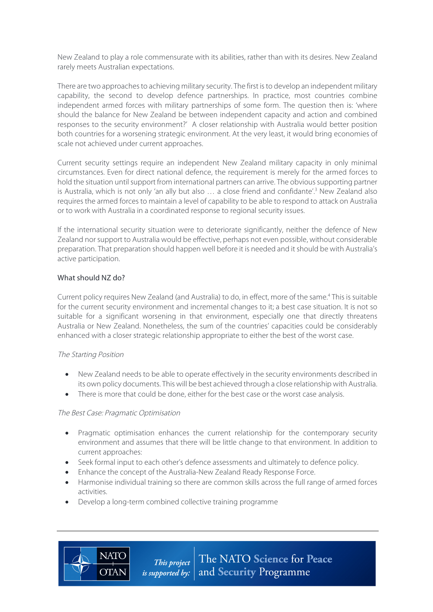New Zealand to play a role commensurate with its abilities, rather than with its desires. New Zealand rarely meets Australian expectations.

There are two approaches to achieving military security. The first is to develop an independent military capability, the second to develop defence partnerships. In practice, most countries combine independent armed forces with military partnerships of some form. The question then is: 'where should the balance for New Zealand be between independent capacity and action and combined responses to the security environment?' A closer relationship with Australia would better position both countries for a worsening strategic environment. At the very least, it would bring economies of scale not achieved under current approaches.

Current security settings require an independent New Zealand military capacity in only minimal circumstances. Even for direct national defence, the requirement is merely for the armed forces to hold the situation until support from international partners can arrive. The obvious supporting partner is Australia, which is not only 'an ally but also  $\ldots$  a close friend and confidante'.<sup>3</sup> New Zealand also requires the armed forces to maintain a level of capability to be able to respond to attack on Australia or to work with Australia in a coordinated response to regional security issues.

If the international security situation were to deteriorate significantly, neither the defence of New Zealand nor support to Australia would be effective, perhaps not even possible, without considerable preparation. That preparation should happen well before it is needed and it should be with Australia's active participation.

## What should NZ do?

Current policy requires New Zealand (and Australia) to do, in effect, more of the same.<sup>4</sup> This is suitable for the current security environment and incremental changes to it; a best case situation. It is not so suitable for a significant worsening in that environment, especially one that directly threatens Australia or New Zealand. Nonetheless, the sum of the countries' capacities could be considerably enhanced with a closer strategic relationship appropriate to either the best of the worst case.

## The Starting Position

- New Zealand needs to be able to operate effectively in the security environments described in its own policy documents. This will be best achieved through a close relationship with Australia.
- There is more that could be done, either for the best case or the worst case analysis.

## The Best Case: Pragmatic Optimisation

**NATO** 

**OTAN** 

- Pragmatic optimisation enhances the current relationship for the contemporary security environment and assumes that there will be little change to that environment. In addition to current approaches:
- Seek formal input to each other's defence assessments and ultimately to defence policy.
- Enhance the concept of the Australia-New Zealand Ready Response Force.
- Harmonise individual training so there are common skills across the full range of armed forces activities.
- Develop a long-term combined collective training programme